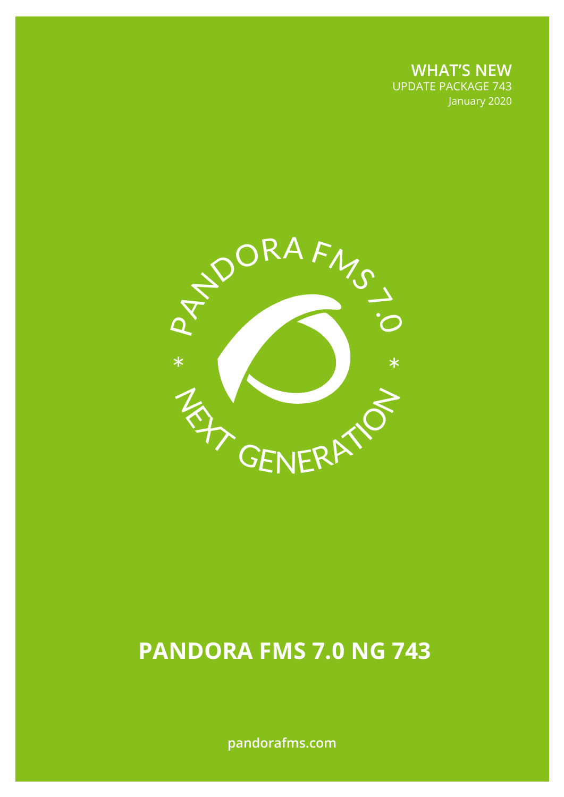**WHAT'S NEW** UPDATE PACKAGE 743 January 2020

January 2020



# **PANDORA FMS 7.0 NG 743**

**pandorafms.com**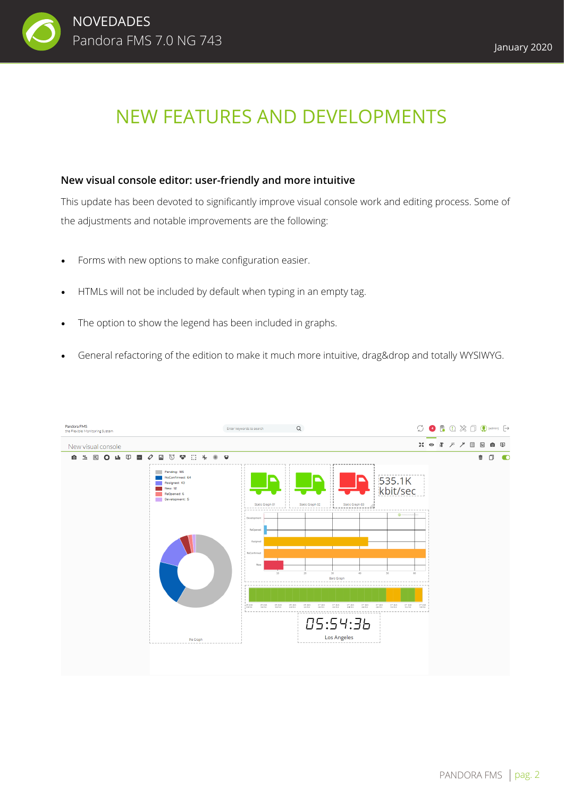

## NEW FEATURES AND DEVELOPMENTS

#### **New visual console editor: user-friendly and more intuitive**

This update has been devoted to significantly improve visual console work and editing process. Some of the adjustments and notable improvements are the following:

- Forms with new options to make configuration easier.
- HTMLs will not be included by default when typing in an empty tag.
- The option to show the legend has been included in graphs.
- General refactoring of the edition to make it much more intuitive, drag&drop and totally WYSIWYG.

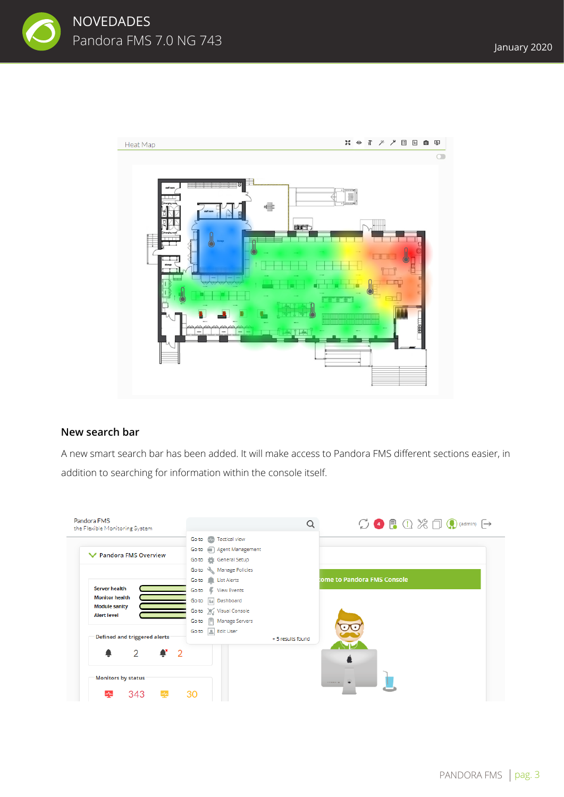



#### **New search bar**

A new smart search bar has been added. It will make access to Pandora FMS different sections easier, in addition to searching for information within the console itself.

| Pandora FMS<br>the Flexible Monitoring System |                                         | $\bigcirc$ 4 $\bigcirc$ 0 $\mathcal{X}$ $\bigcirc$ 0 $\bigcirc$ (admin) $\bigcirc$ |
|-----------------------------------------------|-----------------------------------------|------------------------------------------------------------------------------------|
|                                               | <b>MA</b> Tactical view<br>Go to        |                                                                                    |
| <b>▼</b> Pandora FMS Overview                 | Go to <b>in</b> Agent Management        |                                                                                    |
|                                               | Go to the General Setup                 |                                                                                    |
|                                               | Go to <a> Manage Policies</a>           |                                                                                    |
|                                               | Go to List Alerts                       | ome to Pandora FMS Console                                                         |
| <b>Server health</b>                          | Go to View Events                       |                                                                                    |
| <b>Monitor health</b>                         | Ilit Dashboard<br>Go to                 |                                                                                    |
| <b>Module sanity</b>                          | Go to $\hat{f}(\hat{f})$ Visual Console |                                                                                    |
| <b>Alert level</b>                            | 图 Manage Servers<br>Go to               |                                                                                    |
|                                               | Go to <b>Edit User</b>                  |                                                                                    |
| <b>Defined and triggered alerts</b>           | + 5 results found                       |                                                                                    |
| $\overline{2}$<br>$\mathbf{r}$ 2              |                                         |                                                                                    |
|                                               |                                         |                                                                                    |
| <b>Monitors by status</b>                     |                                         | a model forms.                                                                     |
| 343                                           | 30                                      |                                                                                    |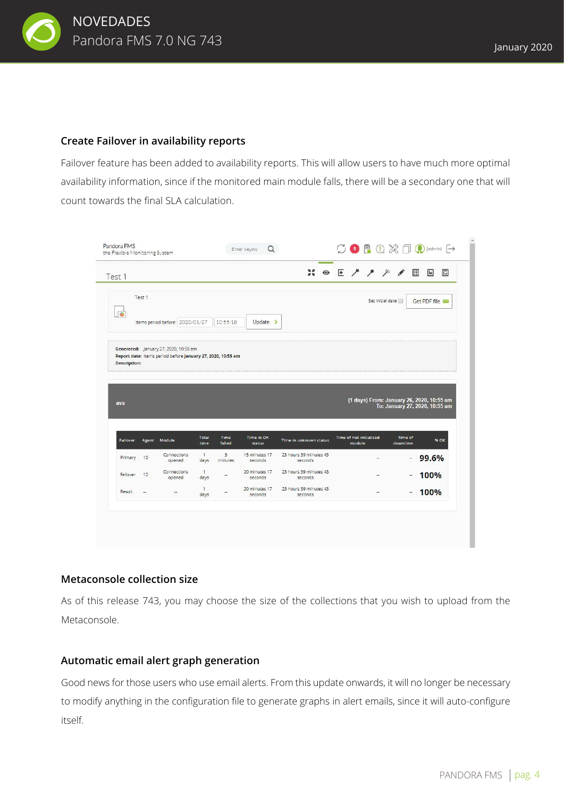

#### **Create Failover in availability reports**

Failover feature has been added to availability reports. This will allow users to have much more optimal availability information, since if the monitored main module falls, there will be a secondary one that will count towards the final SLA calculation.



#### **Metaconsole collection size**

As of this release 743, you may choose the size of the collections that you wish to upload from the Metaconsole.

#### **Automatic email alert graph generation**

Good news for those users who use email alerts. From this update onwards, it will no longer be necessary to modify anything in the configuration file to generate graphs in alert emails, since it will auto-configure itself.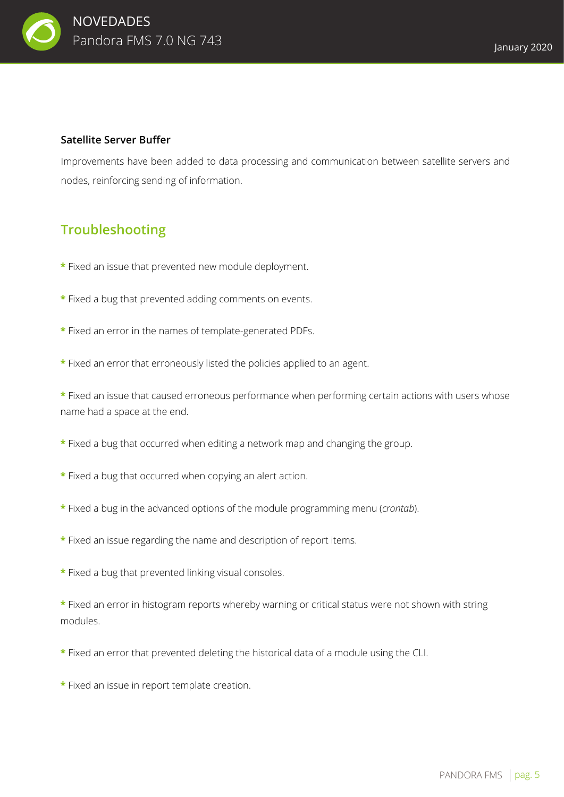

#### **Satellite Server Buffer**

Improvements have been added to data processing and communication between satellite servers and nodes, reinforcing sending of information.

### **Troubleshooting**

- **\*** Fixed an issue that prevented new module deployment.
- **\*** Fixed a bug that prevented adding comments on events.
- **\*** Fixed an error in the names of template-generated PDFs.
- **\*** Fixed an error that erroneously listed the policies applied to an agent.

**\*** Fixed an issue that caused erroneous performance when performing certain actions with users whose name had a space at the end.

- **\*** Fixed a bug that occurred when editing a network map and changing the group.
- **\*** Fixed a bug that occurred when copying an alert action.
- **\*** Fixed a bug in the advanced options of the module programming menu (*crontab*).
- **\*** Fixed an issue regarding the name and description of report items.
- **\*** Fixed a bug that prevented linking visual consoles.

**\*** Fixed an error in histogram reports whereby warning or critical status were not shown with string modules.

- **\*** Fixed an error that prevented deleting the historical data of a module using the CLI.
- **\*** Fixed an issue in report template creation.